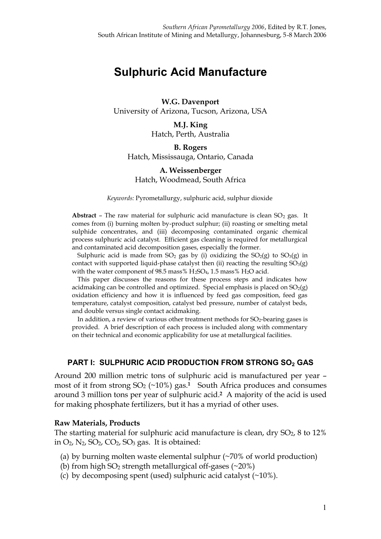# **Sulphuric Acid Manufacture**

## **W.G. Davenport** University of Arizona, Tucson, Arizona, USA

**M.J. King** Hatch, Perth, Australia

# **B. Rogers** Hatch, Mississauga, Ontario, Canada

#### **A. Weissenberger** Hatch, Woodmead, South Africa

*Keywords:* Pyrometallurgy, sulphuric acid, sulphur dioxide

**Abstract** – The raw material for sulphuric acid manufacture is clean  $SO_2$  gas. It comes from (i) burning molten by-product sulphur; (ii) roasting or smelting metal sulphide concentrates, and (iii) decomposing contaminated organic chemical process sulphuric acid catalyst. Efficient gas cleaning is required for metallurgical and contaminated acid decomposition gases, especially the former.

Sulphuric acid is made from  $SO_2$  gas by (i) oxidizing the  $SO_2(g)$  to  $SO_3(g)$  in contact with supported liquid-phase catalyst then (ii) reacting the resulting  $SO<sub>3</sub>(g)$ with the water component of 98.5 mass%  $H_2SO_4$ , 1.5 mass%  $H_2O$  acid.

This paper discusses the reasons for these process steps and indicates how acidmaking can be controlled and optimized. Special emphasis is placed on  $SO_2(g)$ oxidation efficiency and how it is influenced by feed gas composition, feed gas temperature, catalyst composition, catalyst bed pressure, number of catalyst beds, and double versus single contact acidmaking.

In addition, a review of various other treatment methods for SO<sub>2</sub>-bearing gases is provided. A brief description of each process is included along with commentary on their technical and economic applicability for use at metallurgical facilities.

## **PART I: SULPHURIC ACID PRODUCTION FROM STRONG SO<sup>2</sup> GAS**

Around 200 million metric tons of sulphuric acid is manufactured per year – most of it from strong  $SO_2$  ( $\sim$ 10%) gas.<sup>1</sup> South Africa produces and consumes around 3 million tons per year of sulphuric acid.**2** A majority of the acid is used for making phosphate fertilizers, but it has a myriad of other uses.

#### **Raw Materials, Products**

The starting material for sulphuric acid manufacture is clean, dry  $SO_2$ , 8 to 12% in  $O_2$ ,  $N_2$ ,  $SO_2$ ,  $CO_2$ ,  $SO_3$  gas. It is obtained:

- (a) by burning molten waste elemental sulphur (~70% of world production)
- (b) from high  $SO_2$  strength metallurgical off-gases (~20%)
- (c) by decomposing spent (used) sulphuric acid catalyst (~10%).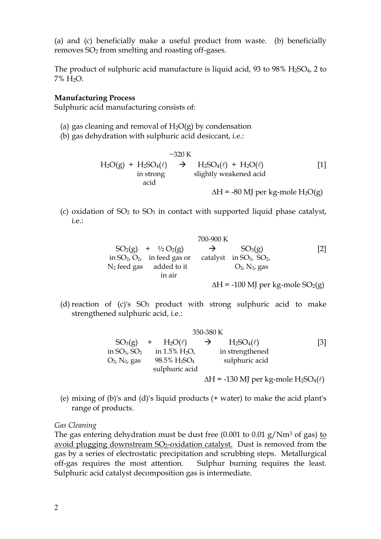(a) and (c) beneficially make a useful product from waste. (b) beneficially removes SO<sup>2</sup> from smelting and roasting off-gases.

The product of sulphuric acid manufacture is liquid acid, 93 to 98%  $H_2SO_4$ , 2 to 7% H2O.

#### **Manufacturing Process**

Sulphuric acid manufacturing consists of:

- (a) gas cleaning and removal of  $H_2O(g)$  by condensation
- (b) gas dehydration with sulphuric acid desiccant, i.e.:

$$
H_2O(g) + H_2SO_4(\ell) \rightarrow H_2SO_4(\ell) + H_2O(\ell)
$$
 [1]  
in strong  
acid  

$$
\Delta H = -80 \text{ MJ per kg-mole H}_2O(g)
$$

(c) oxidation of  $SO_2$  to  $SO_3$  in contact with supported liquid phase catalyst, i.e.:

|  |                                    | 700-900 K     |                               |                                                      |
|--|------------------------------------|---------------|-------------------------------|------------------------------------------------------|
|  | $SO_2(g)$ + $\frac{1}{2}O_2(g)$    | $\rightarrow$ | SO <sub>3</sub> (g)           | [2]                                                  |
|  | in $SO_2$ , $O_2$ , in feed gas or |               | catalyst in $SO_3$ , $SO_2$ , |                                                      |
|  | $N_2$ feed gas added to it         |               | $O_2$ , $N_2$ , gas           |                                                      |
|  | in air                             |               |                               |                                                      |
|  |                                    |               |                               | $\Delta H$ = -100 MJ per kg-mole SO <sub>2</sub> (g) |

(d) reaction of  $(c)$ 's  $SO_3$  product with strong sulphuric acid to make strengthened sulphuric acid, i.e.:

| 350-380 K           |                                      |               |                                                                            |                   |  |  |  |
|---------------------|--------------------------------------|---------------|----------------------------------------------------------------------------|-------------------|--|--|--|
| SO <sub>3</sub> (g) | $+ H_2O(\ell)$                       | $\rightarrow$ | $H_2SO_4(\ell)$                                                            | $\lceil 3 \rceil$ |  |  |  |
| in $SO_3$ , $SO_2$  | in $1.5\%$ H <sub>2</sub> O,         |               | in strengthened                                                            |                   |  |  |  |
| $O_2$ , $N_2$ , gas | 98.5% H <sub>2</sub> SO <sub>4</sub> |               | sulphuric acid                                                             |                   |  |  |  |
|                     | sulphuric acid                       |               |                                                                            |                   |  |  |  |
|                     |                                      |               | $\Delta H = -130$ MJ per kg-mole H <sub>2</sub> SO <sub>4</sub> ( $\ell$ ) |                   |  |  |  |

(e) mixing of (b)'s and (d)'s liquid products (+ water) to make the acid plant's range of products.

*Gas Cleaning*

The gas entering dehydration must be dust free  $(0.001 \text{ to } 0.01 \text{ g}/Nm^3 \text{ of gas})$  to avoid plugging downstream  $SO_2$ -oxidation catalyst. Dust is removed from the gas by a series of electrostatic precipitation and scrubbing steps. Metallurgical off-gas requires the most attention. Sulphur burning requires the least. Sulphuric acid catalyst decomposition gas is intermediate.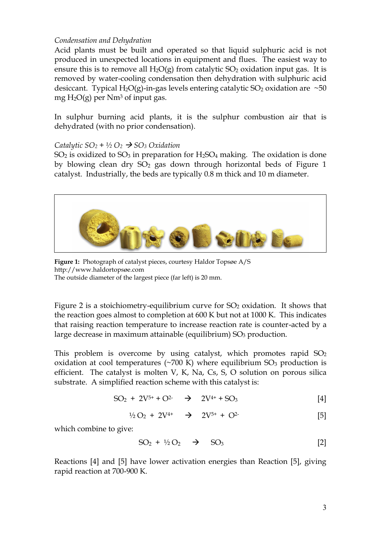#### *Condensation and Dehydration*

Acid plants must be built and operated so that liquid sulphuric acid is not produced in unexpected locations in equipment and flues. The easiest way to ensure this is to remove all  $H_2O(g)$  from catalytic  $SO_2$  oxidation input gas. It is removed by water-cooling condensation then dehydration with sulphuric acid desiccant. Typical H<sub>2</sub>O(g)-in-gas levels entering catalytic SO<sub>2</sub> oxidation are  $\sim$ 50 mg  $H_2O(g)$  per Nm<sup>3</sup> of input gas.

In sulphur burning acid plants, it is the sulphur combustion air that is dehydrated (with no prior condensation).

#### *Catalytic*  $SO_2 + \frac{1}{2}O_2 \rightarrow SO_3$  *Oxidation*

 $SO<sub>2</sub>$  is oxidized to  $SO<sub>3</sub>$  in preparation for H<sub>2</sub>SO<sub>4</sub> making. The oxidation is done by blowing clean dry  $SO<sub>2</sub>$  gas down through horizontal beds of Figure 1 catalyst. Industrially, the beds are typically 0.8 m thick and 10 m diameter.



**Figure 1:** Photograph of catalyst pieces, courtesy Haldor Topsøe A/S http://www.haldortopsøe.com The outside diameter of the largest piece (far left) is 20 mm.

Figure 2 is a stoichiometry-equilibrium curve for  $SO<sub>2</sub>$  oxidation. It shows that the reaction goes almost to completion at 600 K but not at 1000 K. This indicates that raising reaction temperature to increase reaction rate is counter-acted by a large decrease in maximum attainable (equilibrium)  $SO<sub>3</sub>$  production.

This problem is overcome by using catalyst, which promotes rapid  $SO<sub>2</sub>$ oxidation at cool temperatures ( $\sim$ 700 K) where equilibrium SO<sub>3</sub> production is efficient. The catalyst is molten V, K, Na, Cs, S, O solution on porous silica substrate. A simplified reaction scheme with this catalyst is:

$$
SO_2 + 2V^{5+} + O^{2-} \rightarrow 2V^{4+} + SO_3
$$
 [4]

$$
^{1/2}O_2 + 2V^{4+} \rightarrow 2V^{5+} + O^{2-}
$$
 [5]

which combine to give:

$$
SO_2 + \frac{1}{2}O_2 \rightarrow SO_3 \qquad [2]
$$

Reactions [4] and [5] have lower activation energies than Reaction [5], giving rapid reaction at 700-900 K.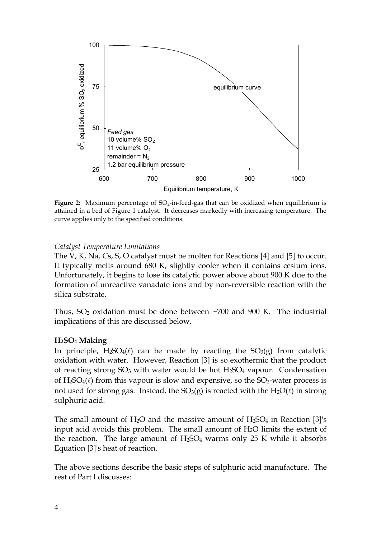

Figure 2: Maximum percentage of SO<sub>2</sub>-in-feed-gas that can be oxidized when equilibrium is attained in a bed of Figure 1 catalyst. It decreases markedly with increasing temperature. The curve applies only to the specified conditions.

#### *Catalyst Temperature Limitations*

The V, K, Na, Cs, S, O catalyst must be molten for Reactions [4] and [5] to occur. It typically melts around 680 K, slightly cooler when it contains cesium ions. Unfortunately, it begins to lose its catalytic power above about 900 K due to the formation of unreactive vanadate ions and by non-reversible reaction with the silica substrate.

Thus,  $SO_2$  oxidation must be done between  $\sim$ 700 and 900 K. The industrial implications of this are discussed below.

#### **H2SO4 Making**

In principle,  $H_2SO_4(\ell)$  can be made by reacting the  $SO_3(g)$  from catalytic oxidation with water. However, Reaction [3] is so exothermic that the product of reacting strong  $SO_3$  with water would be hot  $H_2SO_4$  vapour. Condensation of  $H_2SO_4(\ell)$  from this vapour is slow and expensive, so the SO<sub>2</sub>-water process is not used for strong gas. Instead, the  $SO_3(g)$  is reacted with the  $H_2O(\ell)$  in strong sulphuric acid.

The small amount of H<sub>2</sub>O and the massive amount of H<sub>2</sub>SO<sub>4</sub> in Reaction [3]'s input acid avoids this problem. The small amount of  $H_2O$  limits the extent of the reaction. The large amount of  $H_2SO_4$  warms only 25 K while it absorbs Equation [3]'s heat of reaction.

The above sections describe the basic steps of sulphuric acid manufacture. The rest of Part I discusses: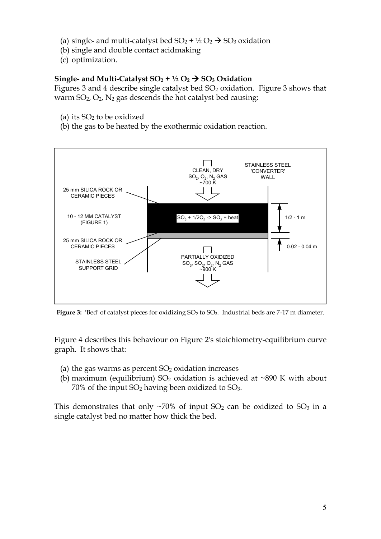- (a) single- and multi-catalyst bed  $SO_2 + \frac{1}{2}O_2 \rightarrow SO_3$  oxidation
- (b) single and double contact acidmaking
- (c) optimization.

# **Single- and Multi-Catalyst**  $SO_2 + \frac{1}{2}O_2 \rightarrow SO_3$  **Oxidation**

Figures 3 and 4 describe single catalyst bed  $SO<sub>2</sub>$  oxidation. Figure 3 shows that warm  $SO_2$ ,  $O_2$ ,  $N_2$  gas descends the hot catalyst bed causing:

- (a) its  $SO<sub>2</sub>$  to be oxidized
- (b) the gas to be heated by the exothermic oxidation reaction.



Figure 3: 'Bed' of catalyst pieces for oxidizing SO<sub>2</sub> to SO<sub>3</sub>. Industrial beds are 7-17 m diameter.

Figure 4 describes this behaviour on Figure 2's stoichiometry-equilibrium curve graph. It shows that:

- (a) the gas warms as percent  $SO<sub>2</sub>$  oxidation increases
- (b) maximum (equilibrium)  $SO_2$  oxidation is achieved at ~890 K with about  $70\%$  of the input SO<sub>2</sub> having been oxidized to SO<sub>3</sub>.

This demonstrates that only  $\sim$ 70% of input SO<sub>2</sub> can be oxidized to SO<sub>3</sub> in a single catalyst bed no matter how thick the bed.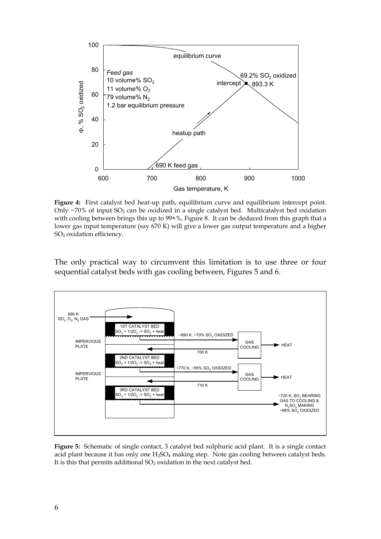

**Figure 4:** First catalyst bed heat-up path, equilibrium curve and equilibrium intercept point. Only  $\sim$ 70% of input SO<sub>2</sub> can be oxidized in a single catalyst bed. Multicatalyst bed oxidation with cooling between brings this up to 99+%, Figure 8. It can be deduced from this graph that a lower gas input temperature (say 670 K) will give a lower gas output temperature and a higher SO2 oxidation efficiency.

The only practical way to circumvent this limitation is to use three or four sequential catalyst beds with gas cooling between, Figures 5 and 6.



**Figure 5:** Schematic of single contact, 3 catalyst bed sulphuric acid plant. It is a single contact acid plant because it has only one  $H_2SO_4$  making step. Note gas cooling between catalyst beds. It is this that permits additional  $SO<sub>2</sub>$  oxidation in the next catalyst bed.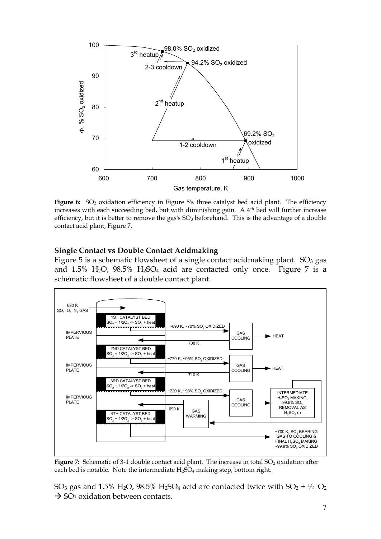

**Figure 6:** SO<sup>2</sup> oxidation efficiency in Figure 5's three catalyst bed acid plant. The efficiency increases with each succeeding bed, but with diminishing gain. A 4<sup>th</sup> bed will further increase efficiency, but it is better to remove the gas's  $SO<sub>3</sub>$  beforehand. This is the advantage of a double contact acid plant, Figure 7.

## **Single Contact vs Double Contact Acidmaking**

Figure 5 is a schematic flowsheet of a single contact acidmaking plant.  $SO<sub>3</sub>$  gas and  $1.5\%$  H<sub>2</sub>O,  $98.5\%$  H<sub>2</sub>SO<sub>4</sub> acid are contacted only once. Figure 7 is a schematic flowsheet of a double contact plant.



Figure 7: Schematic of 3-1 double contact acid plant. The increase in total SO<sub>2</sub> oxidation after each bed is notable. Note the intermediate  $H_2SO_4$  making step, bottom right.

SO<sub>3</sub> gas and 1.5% H<sub>2</sub>O, 98.5% H<sub>2</sub>SO<sub>4</sub> acid are contacted twice with SO<sub>2</sub> +  $\frac{1}{2}$  O<sub>2</sub>  $\rightarrow$  SO<sub>3</sub> oxidation between contacts.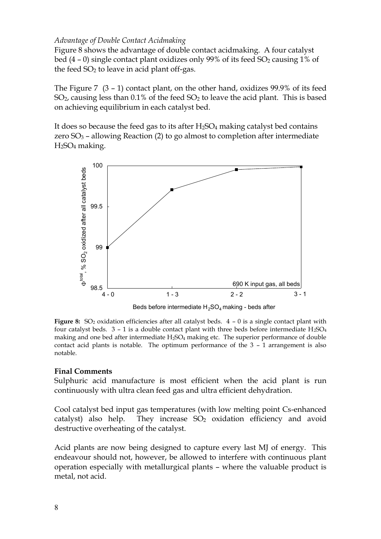#### *Advantage of Double Contact Acidmaking*

Figure 8 shows the advantage of double contact acidmaking. A four catalyst bed  $(4 - 0)$  single contact plant oxidizes only 99% of its feed SO<sub>2</sub> causing 1% of the feed  $SO<sub>2</sub>$  to leave in acid plant off-gas.

The Figure 7 (3 – 1) contact plant, on the other hand, oxidizes 99.9% of its feed  $SO<sub>2</sub>$ , causing less than 0.1% of the feed  $SO<sub>2</sub>$  to leave the acid plant. This is based on achieving equilibrium in each catalyst bed.

It does so because the feed gas to its after  $H_2SO_4$  making catalyst bed contains zero  $SO_3$  – allowing Reaction (2) to go almost to completion after intermediate H2SO4 making.



Beds before intermediate  $H_2SO_4$  making - beds after

**Figure** 8: SO<sub>2</sub> oxidation efficiencies after all catalyst beds.  $4 - 0$  is a single contact plant with four catalyst beds.  $3 - 1$  is a double contact plant with three beds before intermediate H<sub>2</sub>SO<sub>4</sub> making and one bed after intermediate  $H_2SO_4$  making etc. The superior performance of double contact acid plants is notable. The optimum performance of the 3 – 1 arrangement is also notable.

## **Final Comments**

Sulphuric acid manufacture is most efficient when the acid plant is run continuously with ultra clean feed gas and ultra efficient dehydration.

Cool catalyst bed input gas temperatures (with low melting point Cs-enhanced catalyst) also help. They increase  $SO_2$  oxidation efficiency and avoid destructive overheating of the catalyst.

Acid plants are now being designed to capture every last MJ of energy. This endeavour should not, however, be allowed to interfere with continuous plant operation especially with metallurgical plants – where the valuable product is metal, not acid.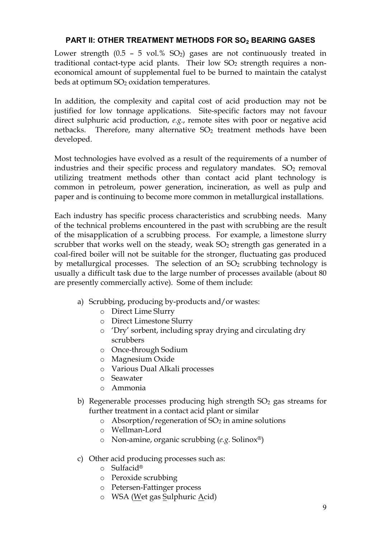# **PART II: OTHER TREATMENT METHODS FOR SO2 BEARING GASES**

Lower strength  $(0.5 - 5 \text{ vol. % } SO_2)$  gases are not continuously treated in traditional contact-type acid plants. Their low  $SO<sub>2</sub>$  strength requires a noneconomical amount of supplemental fuel to be burned to maintain the catalyst beds at optimum SO<sub>2</sub> oxidation temperatures.

In addition, the complexity and capital cost of acid production may not be justified for low tonnage applications. Site-specific factors may not favour direct sulphuric acid production, *e.g.*, remote sites with poor or negative acid netbacks. Therefore, many alternative  $SO<sub>2</sub>$  treatment methods have been developed.

Most technologies have evolved as a result of the requirements of a number of industries and their specific process and regulatory mandates.  $SO<sub>2</sub>$  removal utilizing treatment methods other than contact acid plant technology is common in petroleum, power generation, incineration, as well as pulp and paper and is continuing to become more common in metallurgical installations.

Each industry has specific process characteristics and scrubbing needs. Many of the technical problems encountered in the past with scrubbing are the result of the misapplication of a scrubbing process. For example, a limestone slurry scrubber that works well on the steady, weak  $SO<sub>2</sub>$  strength gas generated in a coal-fired boiler will not be suitable for the stronger, fluctuating gas produced by metallurgical processes. The selection of an  $SO<sub>2</sub>$  scrubbing technology is usually a difficult task due to the large number of processes available (about 80 are presently commercially active). Some of them include:

- a) Scrubbing, producing by-products and/or wastes:
	- o Direct Lime Slurry
	- o Direct Limestone Slurry
	- o 'Dry' sorbent, including spray drying and circulating dry scrubbers
	- o Once-through Sodium
	- o Magnesium Oxide
	- o Various Dual Alkali processes
	- o Seawater
	- o Ammonia
- b) Regenerable processes producing high strength  $SO<sub>2</sub>$  gas streams for further treatment in a contact acid plant or similar
	- $\circ$  Absorption/regeneration of SO<sub>2</sub> in amine solutions
	- o Wellman-Lord
	- o Non-amine, organic scrubbing (*e.g.* Solinox®)
- c) Other acid producing processes such as:
	- o Sulfacid®
	- o Peroxide scrubbing
	- o Petersen-Fattinger process
	- o WSA (Wet gas Sulphuric Acid)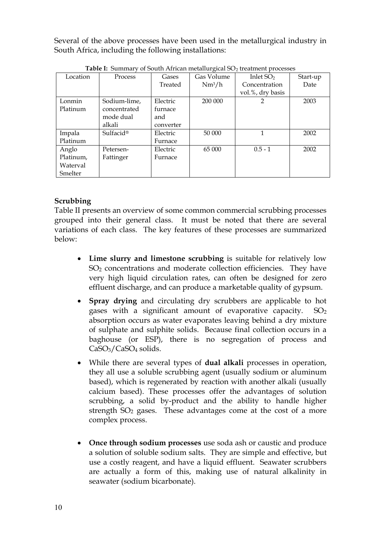Several of the above processes have been used in the metallurgical industry in South Africa, including the following installations:

|           |                       | Gases     |                           |                  |          |
|-----------|-----------------------|-----------|---------------------------|------------------|----------|
|           | Location<br>Process   |           | Gas Volume<br>Inlet $SO2$ |                  | Start-up |
|           |                       | Treated   | $Nm^3/h$                  | Concentration    | Date     |
|           |                       |           |                           | vol.%, dry basis |          |
| Lonmin    | Sodium-lime,          | Electric  | 200 000                   | $\mathfrak{p}$   | 2003     |
| Platinum  | concentrated          | furnace   |                           |                  |          |
|           | mode dual             | and       |                           |                  |          |
|           | alkali                | converter |                           |                  |          |
| Impala    | Sulfacid <sup>®</sup> | Electric  | 50 000                    | 1                | 2002     |
| Platinum  |                       | Furnace   |                           |                  |          |
| Anglo     | Petersen-             | Electric  | 65 000                    | $0.5 - 1$        | 2002     |
| Platinum, | Fattinger             | Furnace   |                           |                  |          |
| Waterval  |                       |           |                           |                  |          |
| Smelter   |                       |           |                           |                  |          |

**Table I:** Summary of South African metallurgical SO<sub>2</sub> treatment processes

# **Scrubbing**

Table II presents an overview of some common commercial scrubbing processes grouped into their general class. It must be noted that there are several variations of each class. The key features of these processes are summarized below:

- · **Lime slurry and limestone scrubbing** is suitable for relatively low SO<sup>2</sup> concentrations and moderate collection efficiencies. They have very high liquid circulation rates, can often be designed for zero effluent discharge, and can produce a marketable quality of gypsum.
- · **Spray drying** and circulating dry scrubbers are applicable to hot gases with a significant amount of evaporative capacity.  $SO_2$ absorption occurs as water evaporates leaving behind a dry mixture of sulphate and sulphite solids. Because final collection occurs in a baghouse (or ESP), there is no segregation of process and CaSO<sub>3</sub>/CaSO<sub>4</sub> solids.
- · While there are several types of **dual alkali** processes in operation, they all use a soluble scrubbing agent (usually sodium or aluminum based), which is regenerated by reaction with another alkali (usually calcium based). These processes offer the advantages of solution scrubbing, a solid by-product and the ability to handle higher strength  $SO<sub>2</sub>$  gases. These advantages come at the cost of a more complex process.
- · **Once through sodium processes** use soda ash or caustic and produce a solution of soluble sodium salts. They are simple and effective, but use a costly reagent, and have a liquid effluent. Seawater scrubbers are actually a form of this, making use of natural alkalinity in seawater (sodium bicarbonate).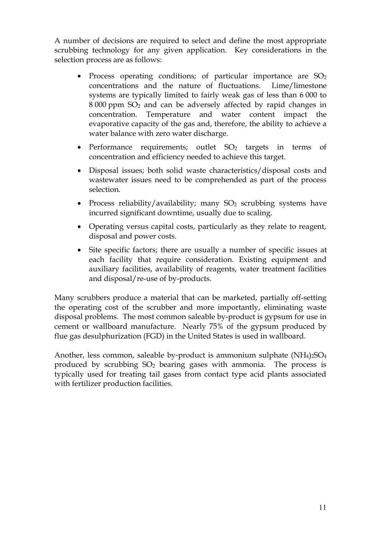A number of decisions are required to select and define the most appropriate scrubbing technology for any given application. Key considerations in the selection process are as follows:

- Process operating conditions; of particular importance are SO<sub>2</sub> concentrations and the nature of fluctuations. Lime/limestone systems are typically limited to fairly weak gas of less than 6 000 to 8 000 ppm SO<sup>2</sup> and can be adversely affected by rapid changes in concentration. Temperature and water content impact the evaporative capacity of the gas and, therefore, the ability to achieve a water balance with zero water discharge.
- Performance requirements; outlet SO<sub>2</sub> targets in terms of concentration and efficiency needed to achieve this target.
- · Disposal issues; both solid waste characteristics/disposal costs and wastewater issues need to be comprehended as part of the process selection.
- Process reliability/availability; many  $SO<sub>2</sub>$  scrubbing systems have incurred significant downtime, usually due to scaling.
- · Operating versus capital costs, particularly as they relate to reagent, disposal and power costs.
- · Site specific factors; there are usually a number of specific issues at each facility that require consideration. Existing equipment and auxiliary facilities, availability of reagents, water treatment facilities and disposal/re-use of by-products.

Many scrubbers produce a material that can be marketed, partially off-setting the operating cost of the scrubber and more importantly, eliminating waste disposal problems. The most common saleable by-product is gypsum for use in cement or wallboard manufacture. Nearly 75% of the gypsum produced by flue gas desulphurization (FGD) in the United States is used in wallboard.

Another, less common, saleable by-product is ammonium sulphate  $(NH<sub>4</sub>)<sub>2</sub>SO<sub>4</sub>$ produced by scrubbing  $SO_2$  bearing gases with ammonia. The process is typically used for treating tail gases from contact type acid plants associated with fertilizer production facilities.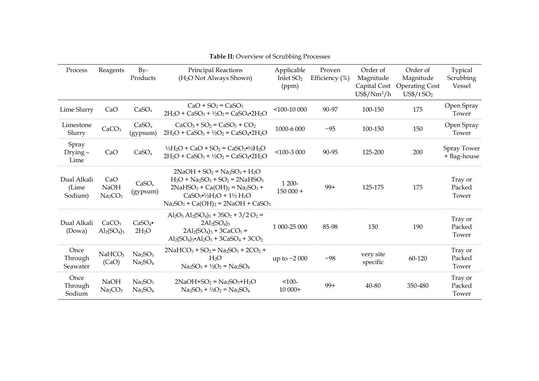| Process                          | Reagents                                              | $Bv-$<br>Products                                                  | <b>Principal Reactions</b><br>(H <sub>2</sub> O Not Always Shown)                                                                                                                                                                | Applicable<br>Inlet $SO2$<br>(ppm) | Proven<br>Efficiency $(\%)$ | Order of<br>Magnitude<br>Capital Cost<br>$US\frac{4}{Nm^3/h}$ | Order of<br>Magnitude<br><b>Operating Cost</b><br>$US$/t$ SO <sub>2</sub> | Typical<br>Scrubbing<br>Vessel |
|----------------------------------|-------------------------------------------------------|--------------------------------------------------------------------|----------------------------------------------------------------------------------------------------------------------------------------------------------------------------------------------------------------------------------|------------------------------------|-----------------------------|---------------------------------------------------------------|---------------------------------------------------------------------------|--------------------------------|
| Lime Slurry                      | CaO                                                   | CaSO <sub>x</sub>                                                  | $CaO + SO2 = CaSO3$<br>$2H_2O + CaSO_3 + \frac{1}{2}O_2 = CaSO_4$ $2H_2O$                                                                                                                                                        | $<$ 100-10 000                     | 90-97                       | 100-150                                                       | 175                                                                       | Open Spray<br>Tower            |
| Limestone<br>Slurry              | CaCO <sub>3</sub>                                     | CaSO <sub>x</sub><br>(gypsum)                                      | $CaCO3 + SO2 = CaSO3 + CO2$<br>$2H_2O + CaSO_3 + \frac{1}{2}O_2 = CaSO_4 - 2H_2O$                                                                                                                                                | 1000-6 000                         | $\sim 95$                   | 100-150                                                       | 150                                                                       | Open Spray<br>Tower            |
| Spray<br>Drying –<br>Lime        | CaO                                                   | CaSO <sub>x</sub>                                                  | $\frac{1}{2}H_2O + CaO + SO_2 = CaSO_3$ . $\frac{1}{2}H_2O$<br>$2H_2O + CaSO_3 + \frac{1}{2}O_2 = CaSO_4$ $2H_2O$                                                                                                                | $<$ 100-3 000                      | 90-95                       | 125-200                                                       | 200                                                                       | Spray Tower<br>+ Bag-house     |
| Dual Alkali<br>(Lime)<br>Sodium) | CaO<br><b>NaOH</b><br>Na <sub>2</sub> CO <sub>3</sub> | CaSO <sub>x</sub><br>(gypsum)                                      | $2NaOH + SO2 = Na2SO3 + H2O$<br>$H_2O + Na_2SO_3 + SO_2 = 2NaHSO_3$<br>$2NaHSO_3 + Ca(OH)_2 = Na_2SO_3 +$<br>$CaSO3$ <sup>-1/2</sup> H <sub>2</sub> O + 1 <sup>1</sup> /2 H <sub>2</sub> O<br>$Na2SO3 + Ca(OH)2 = 2NaOH + CaSO3$ | 1 200-<br>$150000+$                | $99+$                       | 125-175                                                       | 175                                                                       | Tray or<br>Packed<br>Tower     |
| Dual Alkali<br>(Dowa)            | CaCO <sub>3</sub><br>$\text{Al}_2(\text{SO}_4)_3$     | CaSO <sub>4</sub><br>$2H_2O$                                       | $Al_2O_3 Al_2(SO_4)_3 + 3SO_2 + 3/2 O_2 =$<br>$2Al_2(SO_4)_3$<br>$2Al_2(SO_4)_3 + 3CaCO_3 =$<br>$Al_2(SO_4)_3$ $Al_2O_3 + 3CaSO_4 + 3CO_2$                                                                                       | 1 000-25 000                       | 85-98                       | 150                                                           | 190                                                                       | Tray or<br>Packed<br>Tower     |
| Once<br>Through<br>Seawater      | NaHCO <sub>3</sub><br>(CaO)                           | Na <sub>2</sub> SO <sub>3</sub><br>Na <sub>2</sub> SO <sub>4</sub> | $2NaHCO3 + SO2 = Na2SO3 + 2CO2 +$<br>$H_2O$<br>$Na_2SO_3 + \frac{1}{2}O_2 = Na_2SO_4$                                                                                                                                            | up to $\sim$ 2000                  | ~1                          | very site<br>specific                                         | 60-120                                                                    | Tray or<br>Packed<br>Tower     |
| Once<br>Through<br>Sodium        | <b>NaOH</b><br>Na <sub>2</sub> CO <sub>3</sub>        | Na <sub>2</sub> SO <sub>3</sub><br>Na <sub>2</sub> SO <sub>4</sub> | $2NaOH+SO2 = Na2SO3+H2O$<br>$Na2SO3 + \frac{1}{2}O2 = Na2SO4$                                                                                                                                                                    | $< 100 -$<br>$10000+$              | $99+$                       | $40 - 80$                                                     | 350-480                                                                   | Tray or<br>Packed<br>Tower     |

**Table II:** Overview of Scrubbing Processes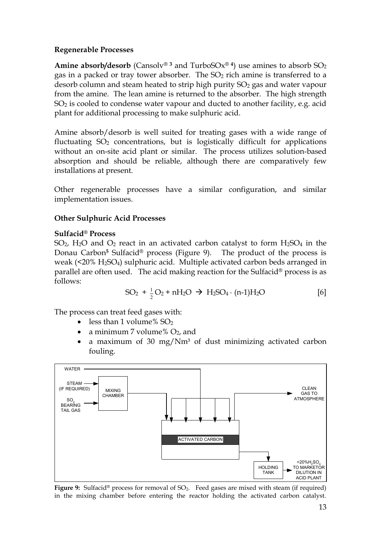# **Regenerable Processes**

**Amine absorb/desorb** (Cansolv®<sup>3</sup> and TurboSOx®<sup>4</sup>) use amines to absorb  $SO_2$ gas in a packed or tray tower absorber. The  $SO<sub>2</sub>$  rich amine is transferred to a desorb column and steam heated to strip high purity  $SO<sub>2</sub>$  gas and water vapour from the amine. The lean amine is returned to the absorber. The high strength SO<sup>2</sup> is cooled to condense water vapour and ducted to another facility, e.g. acid plant for additional processing to make sulphuric acid.

Amine absorb/desorb is well suited for treating gases with a wide range of fluctuating  $SO<sub>2</sub>$  concentrations, but is logistically difficult for applications without an on-site acid plant or similar. The process utilizes solution-based absorption and should be reliable, although there are comparatively few installations at present.

Other regenerable processes have a similar configuration, and similar implementation issues.

# **Other Sulphuric Acid Processes**

# **Sulfacid® Process**

SO<sub>2</sub>, H<sub>2</sub>O and O<sub>2</sub> react in an activated carbon catalyst to form  $H_2SO_4$  in the Donau Carbon**<sup>5</sup>** Sulfacid® process (Figure 9). The product of the process is weak (<20% H2SO4) sulphuric acid. Multiple activated carbon beds arranged in parallel are often used. The acid making reaction for the Sulfacid® process is as follows:

$$
SO_2 + \frac{1}{2}O_2 + nH_2O \rightarrow H_2SO_4 \cdot (n-1)H_2O
$$
 [6]

The process can treat feed gases with:

- less than 1 volume%  $SO<sub>2</sub>$
- a minimum 7 volume%  $O_2$ , and
- a maximum of 30 mg/ $Nm^3$  of dust minimizing activated carbon fouling.



**Figure 9:** Sulfacid® process for removal of SO2. Feed gases are mixed with steam (if required) in the mixing chamber before entering the reactor holding the activated carbon catalyst.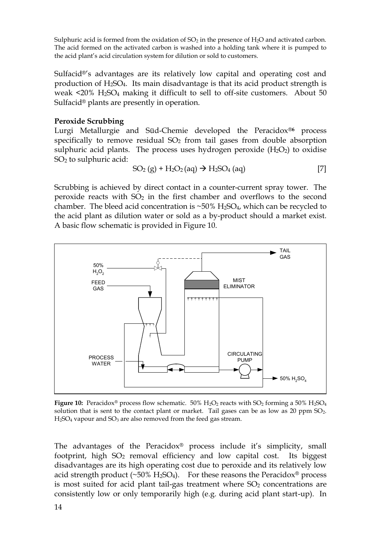Sulphuric acid is formed from the oxidation of  $SO_2$  in the presence of  $H_2O$  and activated carbon. The acid formed on the activated carbon is washed into a holding tank where it is pumped to the acid plant's acid circulation system for dilution or sold to customers.

Sulfacid®'s advantages are its relatively low capital and operating cost and production of H2SO4. Its main disadvantage is that its acid product strength is weak <20% H2SO<sup>4</sup> making it difficult to sell to off-site customers. About 50 Sulfacid® plants are presently in operation.

# **Peroxide Scrubbing**

Lurgi Metallurgie and Süd-Chemie developed the Peracidox®**<sup>6</sup>** process specifically to remove residual  $SO<sub>2</sub>$  from tail gases from double absorption sulphuric acid plants. The process uses hydrogen peroxide  $(H_2O_2)$  to oxidise SO2 to sulphuric acid:

$$
SO_2(g) + H_2O_2(aq) \rightarrow H_2SO_4(aq)
$$
 [7]

Scrubbing is achieved by direct contact in a counter-current spray tower. The peroxide reacts with  $SO<sub>2</sub>$  in the first chamber and overflows to the second chamber. The bleed acid concentration is  $\sim$ 50% H<sub>2</sub>SO<sub>4</sub>, which can be recycled to the acid plant as dilution water or sold as a by-product should a market exist. A basic flow schematic is provided in Figure 10.



**Figure 10:** Peracidox<sup>®</sup> process flow schematic.  $50\%$  H<sub>2</sub>O<sub>2</sub> reacts with SO<sub>2</sub> forming a  $50\%$  H<sub>2</sub>SO<sub>4</sub> solution that is sent to the contact plant or market. Tail gases can be as low as  $20$  ppm  $SO_2$ .  $H<sub>2</sub>SO<sub>4</sub>$  vapour and  $SO<sub>3</sub>$  are also removed from the feed gas stream.

The advantages of the Peracidox® process include it's simplicity, small footprint, high SO<sub>2</sub> removal efficiency and low capital cost. Its biggest disadvantages are its high operating cost due to peroxide and its relatively low acid strength product (~50%  $H_2SO_4$ ). For these reasons the Peracidox<sup>®</sup> process is most suited for acid plant tail-gas treatment where  $SO<sub>2</sub>$  concentrations are consistently low or only temporarily high (e.g. during acid plant start-up). In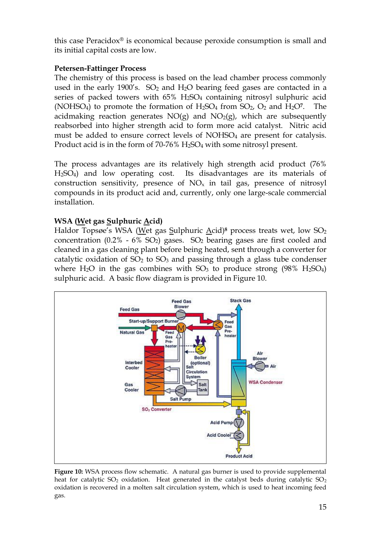this case Peracidox® is economical because peroxide consumption is small and its initial capital costs are low.

# **Petersen-Fattinger Process**

The chemistry of this process is based on the lead chamber process commonly used in the early 1900's.  $SO<sub>2</sub>$  and  $H<sub>2</sub>O$  bearing feed gases are contacted in a series of packed towers with 65% H<sub>2</sub>SO<sub>4</sub> containing nitrosyl sulphuric acid (NOHSO<sub>4</sub>) to promote the formation of  $H_2SO_4$  from  $SO_2$ ,  $O_2$  and  $H_2O^7$ . The acidmaking reaction generates  $NO(g)$  and  $NO<sub>2</sub>(g)$ , which are subsequently reabsorbed into higher strength acid to form more acid catalyst. Nitric acid must be added to ensure correct levels of NOHSO<sub>4</sub> are present for catalysis. Product acid is in the form of 70-76% H<sub>2</sub>SO<sub>4</sub> with some nitrosyl present.

The process advantages are its relatively high strength acid product (76% H2SO4) and low operating cost. Its disadvantages are its materials of construction sensitivity, presence of  $NO<sub>x</sub>$  in tail gas, presence of nitrosyl compounds in its product acid and, currently, only one large-scale commercial installation.

# **WSA (Wet gas Sulphuric Acid)**

Haldor Topsøe's WSA (Wet gas Sulphuric Acid)<sup>8</sup> process treats wet, low SO<sub>2</sub> concentration  $(0.2\% - 6\% SO<sub>2</sub>)$  gases.  $SO<sub>2</sub>$  bearing gases are first cooled and cleaned in a gas cleaning plant before being heated, sent through a converter for catalytic oxidation of  $SO<sub>2</sub>$  to  $SO<sub>3</sub>$  and passing through a glass tube condenser where  $H_2O$  in the gas combines with  $SO_3$  to produce strong (98%  $H_2SO_4$ ) sulphuric acid. A basic flow diagram is provided in Figure 10.



**Figure 10:** WSA process flow schematic. A natural gas burner is used to provide supplemental heat for catalytic  $SO_2$  oxidation. Heat generated in the catalyst beds during catalytic  $SO_2$ oxidation is recovered in a molten salt circulation system, which is used to heat incoming feed gas.